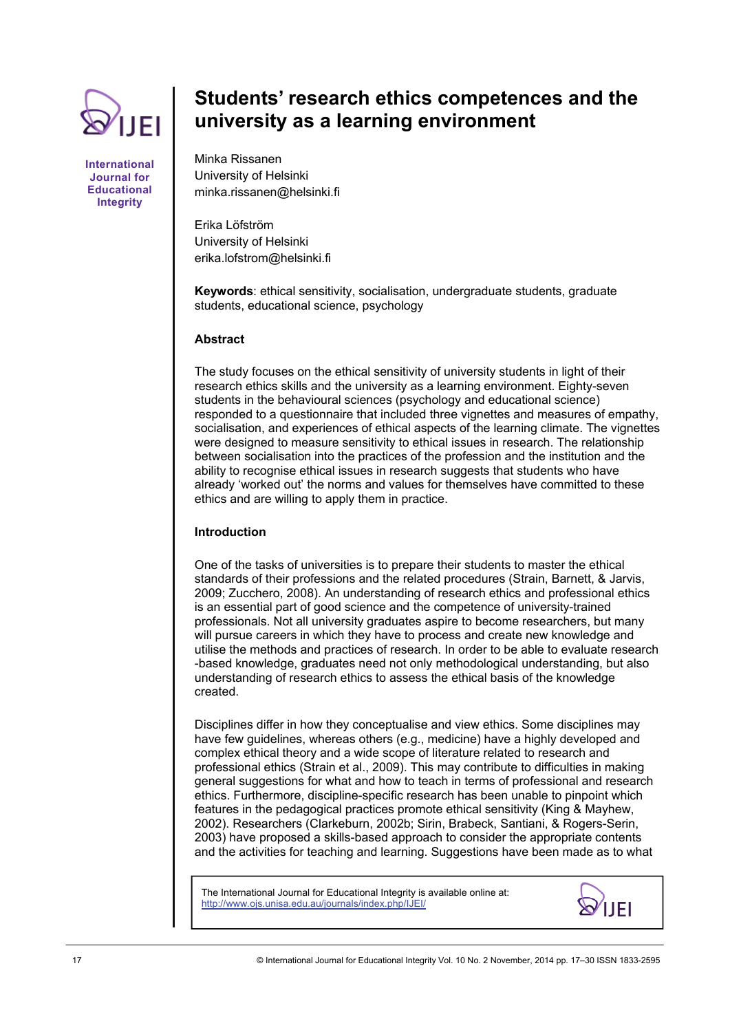

**International Journal for Educational Integrity** 

# **Students' research ethics competences and the university as a learning environment**

Minka Rissanen University of Helsinki minka.rissanen@helsinki.fi

Erika Löfström University of Helsinki erika.lofstrom@helsinki.fi

**Keywords**: ethical sensitivity, socialisation, undergraduate students, graduate students, educational science, psychology

# **Abstract**

The study focuses on the ethical sensitivity of university students in light of their research ethics skills and the university as a learning environment. Eighty-seven students in the behavioural sciences (psychology and educational science) responded to a questionnaire that included three vignettes and measures of empathy, socialisation, and experiences of ethical aspects of the learning climate. The vignettes were designed to measure sensitivity to ethical issues in research. The relationship between socialisation into the practices of the profession and the institution and the ability to recognise ethical issues in research suggests that students who have already 'worked out' the norms and values for themselves have committed to these ethics and are willing to apply them in practice.

# **Introduction**

One of the tasks of universities is to prepare their students to master the ethical standards of their professions and the related procedures (Strain, Barnett, & Jarvis, 2009; Zucchero, 2008). An understanding of research ethics and professional ethics is an essential part of good science and the competence of university-trained professionals. Not all university graduates aspire to become researchers, but many will pursue careers in which they have to process and create new knowledge and utilise the methods and practices of research. In order to be able to evaluate research -based knowledge, graduates need not only methodological understanding, but also understanding of research ethics to assess the ethical basis of the knowledge created.

Disciplines differ in how they conceptualise and view ethics. Some disciplines may have few guidelines, whereas others (e.g., medicine) have a highly developed and complex ethical theory and a wide scope of literature related to research and professional ethics (Strain et al., 2009). This may contribute to difficulties in making general suggestions for what and how to teach in terms of professional and research ethics. Furthermore, discipline-specific research has been unable to pinpoint which features in the pedagogical practices promote ethical sensitivity (King & Mayhew, 2002). Researchers (Clarkeburn, 2002b; Sirin, Brabeck, Santiani, & Rogers-Serin, 2003) have proposed a skills-based approach to consider the appropriate contents and the activities for teaching and learning. Suggestions have been made as to what

The International Journal for Educational Integrity is available online at: http://www.ojs.unisa.edu.au/journals/index.php/IJEI/

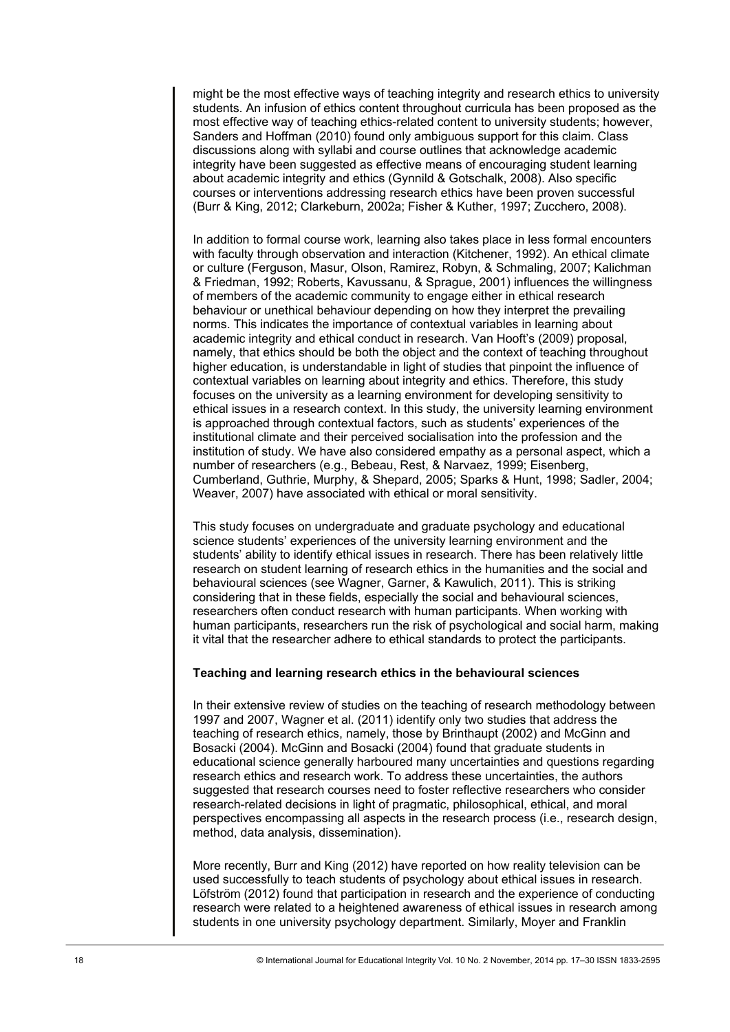might be the most effective ways of teaching integrity and research ethics to university students. An infusion of ethics content throughout curricula has been proposed as the most effective way of teaching ethics-related content to university students; however, Sanders and Hoffman (2010) found only ambiguous support for this claim. Class discussions along with syllabi and course outlines that acknowledge academic integrity have been suggested as effective means of encouraging student learning about academic integrity and ethics (Gynnild & Gotschalk, 2008). Also specific courses or interventions addressing research ethics have been proven successful (Burr & King, 2012; Clarkeburn, 2002a; Fisher & Kuther, 1997; Zucchero, 2008).

In addition to formal course work, learning also takes place in less formal encounters with faculty through observation and interaction (Kitchener, 1992). An ethical climate or culture (Ferguson, Masur, Olson, Ramirez, Robyn, & Schmaling, 2007; Kalichman & Friedman, 1992; Roberts, Kavussanu, & Sprague, 2001) influences the willingness of members of the academic community to engage either in ethical research behaviour or unethical behaviour depending on how they interpret the prevailing norms. This indicates the importance of contextual variables in learning about academic integrity and ethical conduct in research. Van Hooft's (2009) proposal, namely, that ethics should be both the object and the context of teaching throughout higher education, is understandable in light of studies that pinpoint the influence of contextual variables on learning about integrity and ethics. Therefore, this study focuses on the university as a learning environment for developing sensitivity to ethical issues in a research context. In this study, the university learning environment is approached through contextual factors, such as students' experiences of the institutional climate and their perceived socialisation into the profession and the institution of study. We have also considered empathy as a personal aspect, which a number of researchers (e.g., Bebeau, Rest, & Narvaez, 1999; Eisenberg, Cumberland, Guthrie, Murphy, & Shepard, 2005; Sparks & Hunt, 1998; Sadler, 2004; Weaver, 2007) have associated with ethical or moral sensitivity.

This study focuses on undergraduate and graduate psychology and educational science students' experiences of the university learning environment and the students' ability to identify ethical issues in research. There has been relatively little research on student learning of research ethics in the humanities and the social and behavioural sciences (see Wagner, Garner, & Kawulich, 2011). This is striking considering that in these fields, especially the social and behavioural sciences, researchers often conduct research with human participants. When working with human participants, researchers run the risk of psychological and social harm, making it vital that the researcher adhere to ethical standards to protect the participants.

#### **Teaching and learning research ethics in the behavioural sciences**

In their extensive review of studies on the teaching of research methodology between 1997 and 2007, Wagner et al. (2011) identify only two studies that address the teaching of research ethics, namely, those by Brinthaupt (2002) and McGinn and Bosacki (2004). McGinn and Bosacki (2004) found that graduate students in educational science generally harboured many uncertainties and questions regarding research ethics and research work. To address these uncertainties, the authors suggested that research courses need to foster reflective researchers who consider research-related decisions in light of pragmatic, philosophical, ethical, and moral perspectives encompassing all aspects in the research process (i.e., research design, method, data analysis, dissemination).

More recently, Burr and King (2012) have reported on how reality television can be used successfully to teach students of psychology about ethical issues in research. Löfström (2012) found that participation in research and the experience of conducting research were related to a heightened awareness of ethical issues in research among students in one university psychology department. Similarly, Moyer and Franklin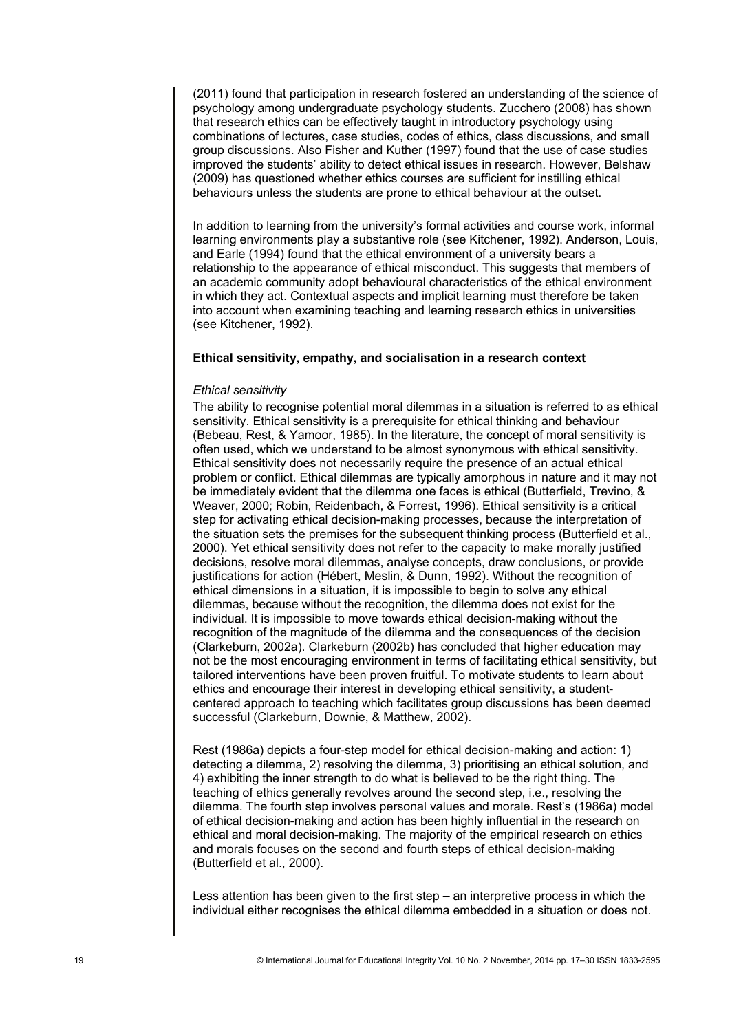(2011) found that participation in research fostered an understanding of the science of psychology among undergraduate psychology students. Zucchero (2008) has shown that research ethics can be effectively taught in introductory psychology using combinations of lectures, case studies, codes of ethics, class discussions, and small group discussions. Also Fisher and Kuther (1997) found that the use of case studies improved the students' ability to detect ethical issues in research. However, Belshaw (2009) has questioned whether ethics courses are sufficient for instilling ethical behaviours unless the students are prone to ethical behaviour at the outset.

In addition to learning from the university's formal activities and course work, informal learning environments play a substantive role (see Kitchener, 1992). Anderson, Louis, and Earle (1994) found that the ethical environment of a university bears a relationship to the appearance of ethical misconduct. This suggests that members of an academic community adopt behavioural characteristics of the ethical environment in which they act. Contextual aspects and implicit learning must therefore be taken into account when examining teaching and learning research ethics in universities (see Kitchener, 1992).

## **Ethical sensitivity, empathy, and socialisation in a research context**

## *Ethical sensitivity*

The ability to recognise potential moral dilemmas in a situation is referred to as ethical sensitivity. Ethical sensitivity is a prerequisite for ethical thinking and behaviour (Bebeau, Rest, & Yamoor, 1985). In the literature, the concept of moral sensitivity is often used, which we understand to be almost synonymous with ethical sensitivity. Ethical sensitivity does not necessarily require the presence of an actual ethical problem or conflict. Ethical dilemmas are typically amorphous in nature and it may not be immediately evident that the dilemma one faces is ethical (Butterfield, Trevino, & Weaver, 2000; Robin, Reidenbach, & Forrest, 1996). Ethical sensitivity is a critical step for activating ethical decision-making processes, because the interpretation of the situation sets the premises for the subsequent thinking process (Butterfield et al., 2000). Yet ethical sensitivity does not refer to the capacity to make morally justified decisions, resolve moral dilemmas, analyse concepts, draw conclusions, or provide justifications for action (Hébert, Meslin, & Dunn, 1992). Without the recognition of ethical dimensions in a situation, it is impossible to begin to solve any ethical dilemmas, because without the recognition, the dilemma does not exist for the individual. It is impossible to move towards ethical decision-making without the recognition of the magnitude of the dilemma and the consequences of the decision (Clarkeburn, 2002a). Clarkeburn (2002b) has concluded that higher education may not be the most encouraging environment in terms of facilitating ethical sensitivity, but tailored interventions have been proven fruitful. To motivate students to learn about ethics and encourage their interest in developing ethical sensitivity, a studentcentered approach to teaching which facilitates group discussions has been deemed successful (Clarkeburn, Downie, & Matthew, 2002).

Rest (1986a) depicts a four-step model for ethical decision-making and action: 1) detecting a dilemma, 2) resolving the dilemma, 3) prioritising an ethical solution, and 4) exhibiting the inner strength to do what is believed to be the right thing. The teaching of ethics generally revolves around the second step, i.e., resolving the dilemma. The fourth step involves personal values and morale. Rest's (1986a) model of ethical decision-making and action has been highly influential in the research on ethical and moral decision-making. The majority of the empirical research on ethics and morals focuses on the second and fourth steps of ethical decision-making (Butterfield et al., 2000).

Less attention has been given to the first step – an interpretive process in which the individual either recognises the ethical dilemma embedded in a situation or does not.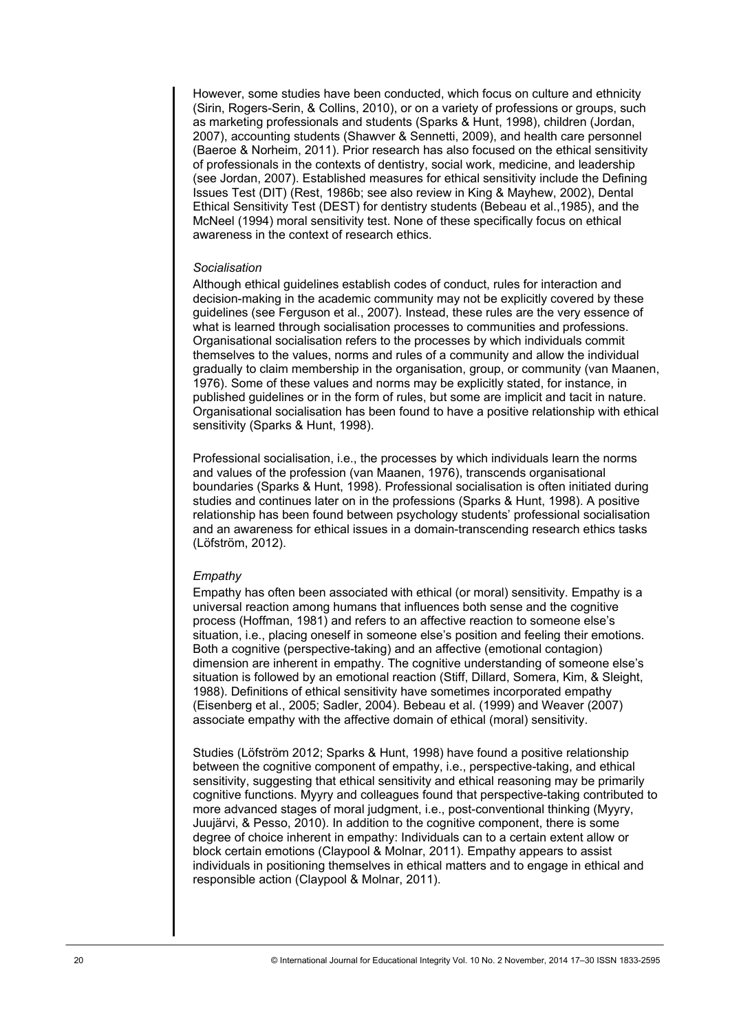However, some studies have been conducted, which focus on culture and ethnicity (Sirin, Rogers-Serin, & Collins, 2010), or on a variety of professions or groups, such as marketing professionals and students (Sparks & Hunt, 1998), children (Jordan, 2007), accounting students (Shawver & Sennetti, 2009), and health care personnel (Baeroe & Norheim, 2011). Prior research has also focused on the ethical sensitivity of professionals in the contexts of dentistry, social work, medicine, and leadership (see Jordan, 2007). Established measures for ethical sensitivity include the Defining Issues Test (DIT) (Rest, 1986b; see also review in King & Mayhew, 2002), Dental Ethical Sensitivity Test (DEST) for dentistry students (Bebeau et al.,1985), and the McNeel (1994) moral sensitivity test. None of these specifically focus on ethical awareness in the context of research ethics.

#### *Socialisation*

Although ethical guidelines establish codes of conduct, rules for interaction and decision-making in the academic community may not be explicitly covered by these guidelines (see Ferguson et al., 2007). Instead, these rules are the very essence of what is learned through socialisation processes to communities and professions. Organisational socialisation refers to the processes by which individuals commit themselves to the values, norms and rules of a community and allow the individual gradually to claim membership in the organisation, group, or community (van Maanen, 1976). Some of these values and norms may be explicitly stated, for instance, in published guidelines or in the form of rules, but some are implicit and tacit in nature. Organisational socialisation has been found to have a positive relationship with ethical sensitivity (Sparks & Hunt, 1998).

Professional socialisation, i.e., the processes by which individuals learn the norms and values of the profession (van Maanen, 1976), transcends organisational boundaries (Sparks & Hunt, 1998). Professional socialisation is often initiated during studies and continues later on in the professions (Sparks & Hunt, 1998). A positive relationship has been found between psychology students' professional socialisation and an awareness for ethical issues in a domain-transcending research ethics tasks (Löfström, 2012).

#### *Empathy*

Empathy has often been associated with ethical (or moral) sensitivity. Empathy is a universal reaction among humans that influences both sense and the cognitive process (Hoffman, 1981) and refers to an affective reaction to someone else's situation, i.e., placing oneself in someone else's position and feeling their emotions. Both a cognitive (perspective-taking) and an affective (emotional contagion) dimension are inherent in empathy. The cognitive understanding of someone else's situation is followed by an emotional reaction (Stiff, Dillard, Somera, Kim, & Sleight, 1988). Definitions of ethical sensitivity have sometimes incorporated empathy (Eisenberg et al., 2005; Sadler, 2004). Bebeau et al. (1999) and Weaver (2007) associate empathy with the affective domain of ethical (moral) sensitivity.

Studies (Löfström 2012; Sparks & Hunt, 1998) have found a positive relationship between the cognitive component of empathy, i.e., perspective-taking, and ethical sensitivity, suggesting that ethical sensitivity and ethical reasoning may be primarily cognitive functions. Myyry and colleagues found that perspective-taking contributed to more advanced stages of moral judgment, i.e., post-conventional thinking (Myyry, Juujärvi, & Pesso, 2010). In addition to the cognitive component, there is some degree of choice inherent in empathy: Individuals can to a certain extent allow or block certain emotions (Claypool & Molnar, 2011). Empathy appears to assist individuals in positioning themselves in ethical matters and to engage in ethical and responsible action (Claypool & Molnar, 2011).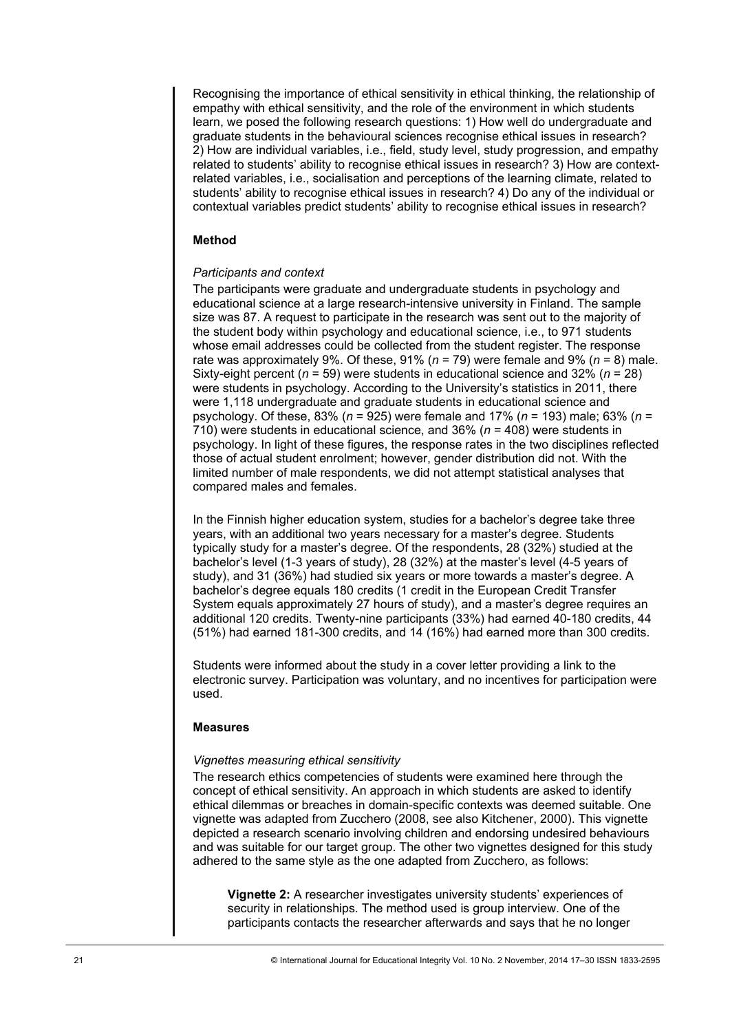Recognising the importance of ethical sensitivity in ethical thinking, the relationship of empathy with ethical sensitivity, and the role of the environment in which students learn, we posed the following research questions: 1) How well do undergraduate and graduate students in the behavioural sciences recognise ethical issues in research? 2) How are individual variables, i.e., field, study level, study progression, and empathy related to students' ability to recognise ethical issues in research? 3) How are contextrelated variables, i.e., socialisation and perceptions of the learning climate, related to students' ability to recognise ethical issues in research? 4) Do any of the individual or contextual variables predict students' ability to recognise ethical issues in research?

# **Method**

## *Participants and context*

The participants were graduate and undergraduate students in psychology and educational science at a large research-intensive university in Finland. The sample size was 87. A request to participate in the research was sent out to the majority of the student body within psychology and educational science, i.e., to 971 students whose email addresses could be collected from the student register. The response rate was approximately 9%. Of these, 91% ( $n = 79$ ) were female and 9% ( $n = 8$ ) male. Sixty-eight percent (*n* = 59) were students in educational science and 32% (*n* = 28) were students in psychology. According to the University's statistics in 2011, there were 1,118 undergraduate and graduate students in educational science and psychology. Of these, 83% (*n* = 925) were female and 17% (*n* = 193) male; 63% (*n* = 710) were students in educational science, and 36% (*n* = 408) were students in psychology. In light of these figures, the response rates in the two disciplines reflected those of actual student enrolment; however, gender distribution did not. With the limited number of male respondents, we did not attempt statistical analyses that compared males and females.

In the Finnish higher education system, studies for a bachelor's degree take three years, with an additional two years necessary for a master's degree. Students typically study for a master's degree. Of the respondents, 28 (32%) studied at the bachelor's level (1-3 years of study), 28 (32%) at the master's level (4-5 years of study), and 31 (36%) had studied six years or more towards a master's degree. A bachelor's degree equals 180 credits (1 credit in the European Credit Transfer System equals approximately 27 hours of study), and a master's degree requires an additional 120 credits. Twenty-nine participants (33%) had earned 40-180 credits, 44 (51%) had earned 181-300 credits, and 14 (16%) had earned more than 300 credits.

Students were informed about the study in a cover letter providing a link to the electronic survey. Participation was voluntary, and no incentives for participation were used.

#### **Measures**

#### *Vignettes measuring ethical sensitivity*

The research ethics competencies of students were examined here through the concept of ethical sensitivity. An approach in which students are asked to identify ethical dilemmas or breaches in domain-specific contexts was deemed suitable. One vignette was adapted from Zucchero (2008, see also Kitchener, 2000). This vignette depicted a research scenario involving children and endorsing undesired behaviours and was suitable for our target group. The other two vignettes designed for this study adhered to the same style as the one adapted from Zucchero, as follows:

**Vignette 2:** A researcher investigates university students' experiences of security in relationships. The method used is group interview. One of the participants contacts the researcher afterwards and says that he no longer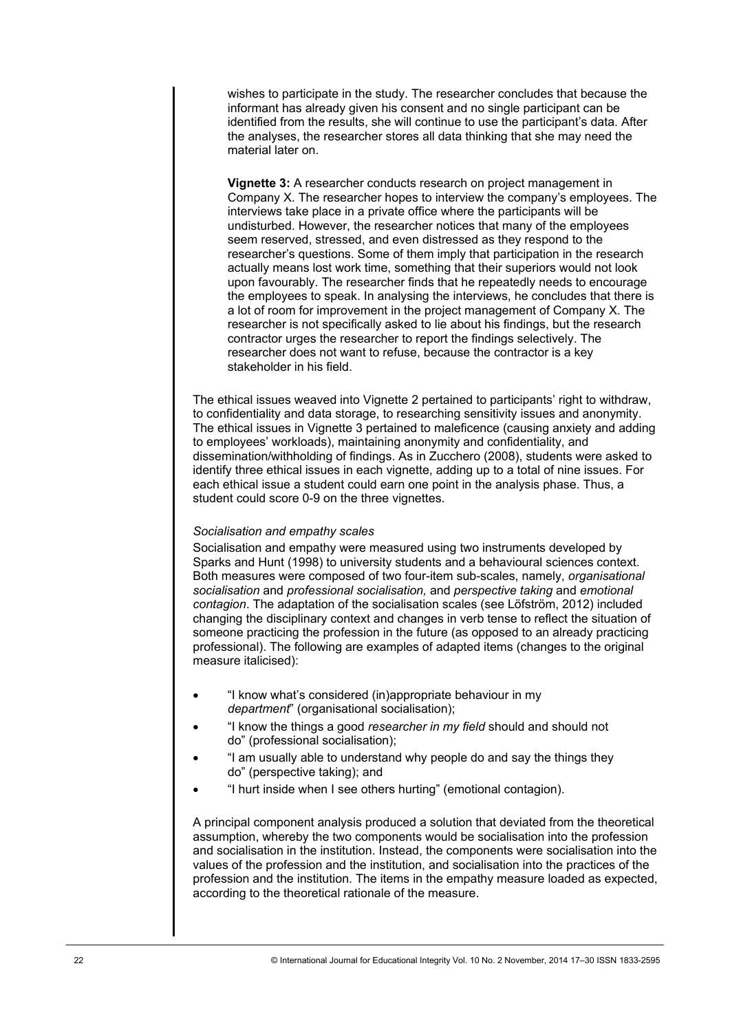wishes to participate in the study. The researcher concludes that because the informant has already given his consent and no single participant can be identified from the results, she will continue to use the participant's data. After the analyses, the researcher stores all data thinking that she may need the material later on.

**Vignette 3:** A researcher conducts research on project management in Company X. The researcher hopes to interview the company's employees. The interviews take place in a private office where the participants will be undisturbed. However, the researcher notices that many of the employees seem reserved, stressed, and even distressed as they respond to the researcher's questions. Some of them imply that participation in the research actually means lost work time, something that their superiors would not look upon favourably. The researcher finds that he repeatedly needs to encourage the employees to speak. In analysing the interviews, he concludes that there is a lot of room for improvement in the project management of Company X. The researcher is not specifically asked to lie about his findings, but the research contractor urges the researcher to report the findings selectively. The researcher does not want to refuse, because the contractor is a key stakeholder in his field.

The ethical issues weaved into Vignette 2 pertained to participants' right to withdraw, to confidentiality and data storage, to researching sensitivity issues and anonymity. The ethical issues in Vignette 3 pertained to maleficence (causing anxiety and adding to employees' workloads), maintaining anonymity and confidentiality, and dissemination/withholding of findings. As in Zucchero (2008), students were asked to identify three ethical issues in each vignette, adding up to a total of nine issues. For each ethical issue a student could earn one point in the analysis phase. Thus, a student could score 0-9 on the three vignettes.

#### *Socialisation and empathy scales*

Socialisation and empathy were measured using two instruments developed by Sparks and Hunt (1998) to university students and a behavioural sciences context. Both measures were composed of two four-item sub-scales, namely, *organisational socialisation* and *professional socialisation,* and *perspective taking* and *emotional contagion*. The adaptation of the socialisation scales (see Löfström, 2012) included changing the disciplinary context and changes in verb tense to reflect the situation of someone practicing the profession in the future (as opposed to an already practicing professional). The following are examples of adapted items (changes to the original measure italicised):

- "I know what's considered (in)appropriate behaviour in my *department*" (organisational socialisation);
- "I know the things a good *researcher in my field* should and should not do" (professional socialisation);
- "I am usually able to understand why people do and say the things they do" (perspective taking); and
- "I hurt inside when I see others hurting" (emotional contagion).

A principal component analysis produced a solution that deviated from the theoretical assumption, whereby the two components would be socialisation into the profession and socialisation in the institution. Instead, the components were socialisation into the values of the profession and the institution, and socialisation into the practices of the profession and the institution. The items in the empathy measure loaded as expected, according to the theoretical rationale of the measure.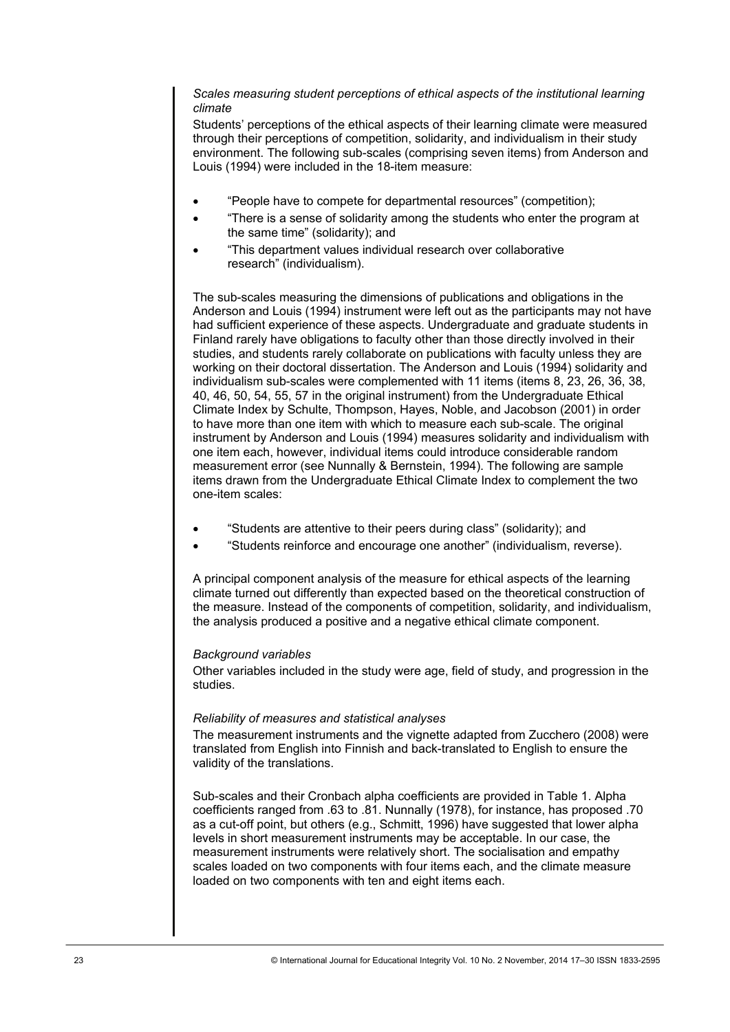# *Scales measuring student perceptions of ethical aspects of the institutional learning climate*

Students' perceptions of the ethical aspects of their learning climate were measured through their perceptions of competition, solidarity, and individualism in their study environment. The following sub-scales (comprising seven items) from Anderson and Louis (1994) were included in the 18-item measure:

- "People have to compete for departmental resources" (competition);
- "There is a sense of solidarity among the students who enter the program at the same time" (solidarity); and
- "This department values individual research over collaborative research" (individualism).

The sub-scales measuring the dimensions of publications and obligations in the Anderson and Louis (1994) instrument were left out as the participants may not have had sufficient experience of these aspects. Undergraduate and graduate students in Finland rarely have obligations to faculty other than those directly involved in their studies, and students rarely collaborate on publications with faculty unless they are working on their doctoral dissertation. The Anderson and Louis (1994) solidarity and individualism sub-scales were complemented with 11 items (items 8, 23, 26, 36, 38, 40, 46, 50, 54, 55, 57 in the original instrument) from the Undergraduate Ethical Climate Index by Schulte, Thompson, Hayes, Noble, and Jacobson (2001) in order to have more than one item with which to measure each sub-scale. The original instrument by Anderson and Louis (1994) measures solidarity and individualism with one item each, however, individual items could introduce considerable random measurement error (see Nunnally & Bernstein, 1994). The following are sample items drawn from the Undergraduate Ethical Climate Index to complement the two one-item scales:

- "Students are attentive to their peers during class" (solidarity); and
- "Students reinforce and encourage one another" (individualism, reverse).

A principal component analysis of the measure for ethical aspects of the learning climate turned out differently than expected based on the theoretical construction of the measure. Instead of the components of competition, solidarity, and individualism, the analysis produced a positive and a negative ethical climate component.

#### *Background variables*

Other variables included in the study were age, field of study, and progression in the studies.

#### *Reliability of measures and statistical analyses*

The measurement instruments and the vignette adapted from Zucchero (2008) were translated from English into Finnish and back-translated to English to ensure the validity of the translations.

Sub-scales and their Cronbach alpha coefficients are provided in Table 1. Alpha coefficients ranged from .63 to .81. Nunnally (1978), for instance, has proposed .70 as a cut-off point, but others (e.g., Schmitt, 1996) have suggested that lower alpha levels in short measurement instruments may be acceptable. In our case, the measurement instruments were relatively short. The socialisation and empathy scales loaded on two components with four items each, and the climate measure loaded on two components with ten and eight items each.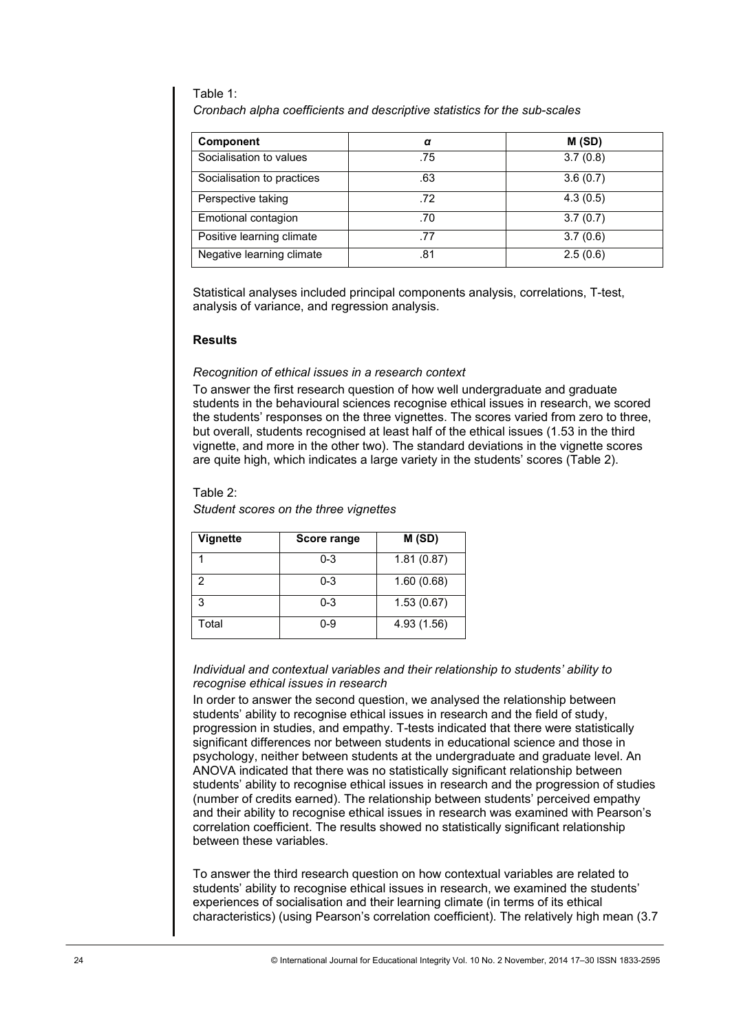#### Table 1:

*Cronbach alpha coefficients and descriptive statistics for the sub-scales* 

| Component                  | α   | M(SD)    |
|----------------------------|-----|----------|
| Socialisation to values    | .75 | 3.7(0.8) |
| Socialisation to practices | .63 | 3.6(0.7) |
| Perspective taking         | .72 | 4.3(0.5) |
| Emotional contagion        | .70 | 3.7(0.7) |
| Positive learning climate  | .77 | 3.7(0.6) |
| Negative learning climate  | .81 | 2.5(0.6) |

Statistical analyses included principal components analysis, correlations, T-test, analysis of variance, and regression analysis.

# **Results**

## *Recognition of ethical issues in a research context*

To answer the first research question of how well undergraduate and graduate students in the behavioural sciences recognise ethical issues in research, we scored the students' responses on the three vignettes. The scores varied from zero to three, but overall, students recognised at least half of the ethical issues (1.53 in the third vignette, and more in the other two). The standard deviations in the vignette scores are quite high, which indicates a large variety in the students' scores (Table 2).

## Table 2:

*Student scores on the three vignettes* 

| <b>Vignette</b> | Score range | M(SD)       |  |
|-----------------|-------------|-------------|--|
|                 | $0 - 3$     | 1.81(0.87)  |  |
| 2               | $0 - 3$     | 1.60(0.68)  |  |
| 3               | $0 - 3$     | 1.53(0.67)  |  |
| Total           | 0-9         | 4.93 (1.56) |  |

#### *Individual and contextual variables and their relationship to students' ability to recognise ethical issues in research*

In order to answer the second question, we analysed the relationship between students' ability to recognise ethical issues in research and the field of study, progression in studies, and empathy. T-tests indicated that there were statistically significant differences nor between students in educational science and those in psychology, neither between students at the undergraduate and graduate level. An ANOVA indicated that there was no statistically significant relationship between students' ability to recognise ethical issues in research and the progression of studies (number of credits earned). The relationship between students' perceived empathy and their ability to recognise ethical issues in research was examined with Pearson's correlation coefficient. The results showed no statistically significant relationship between these variables. Component <br>
Socialisation to values<br>
Socialisation to practices<br>
Socialisation to practices<br>
Socialisation for practices<br>
Tensional contration<br>
Tensional contration<br>
Negative learning dimension<br>
Negative learning dimensio

To answer the third research question on how contextual variables are related to students' ability to recognise ethical issues in research, we examined the students' experiences of socialisation and their learning climate (in terms of its ethical characteristics) (using Pearson's correlation coefficient). The relatively high mean (3.7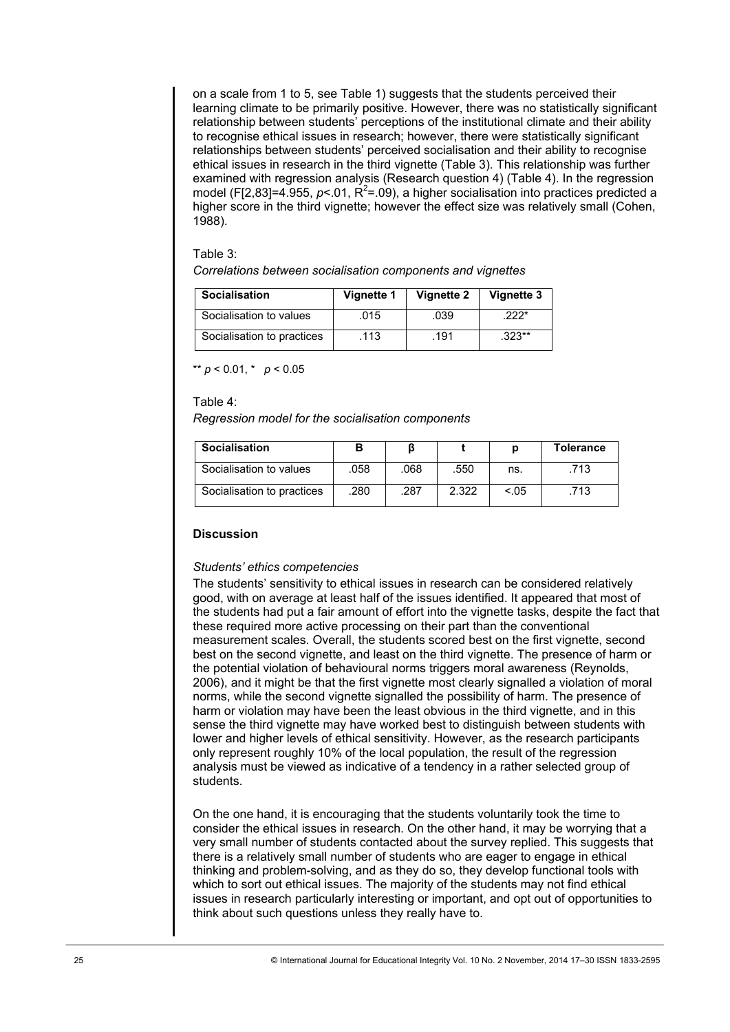on a scale from 1 to 5, see Table 1) suggests that the students perceived their learning climate to be primarily positive. However, there was no statistically significant relationship between students' perceptions of the institutional climate and their ability to recognise ethical issues in research; however, there were statistically significant relationships between students' perceived socialisation and their ability to recognise ethical issues in research in the third vignette (Table 3). This relationship was further examined with regression analysis (Research question 4) (Table 4). In the regression model (F[2,83]=4.955,  $p< 01$ ,  $R^2 = 0.09$ ), a higher socialisation into practices predicted a higher score in the third vignette; however the effect size was relatively small (Cohen, 1988).

#### Table 3:

*Correlations between socialisation components and vignettes* 

| <b>Socialisation</b>       | Vignette 1 | Vignette 2 | Vignette 3 |
|----------------------------|------------|------------|------------|
| Socialisation to values    | 015        | .039       | $222*$     |
| Socialisation to practices | .113       | .191       | $.323**$   |

\*\*  $p < 0.01$ , \*  $p < 0.05$ 

Table 4:

*Regression model for the socialisation components* 

| <b>Socialisation</b>       |      |      |       |        | <b>Tolerance</b> |
|----------------------------|------|------|-------|--------|------------------|
| Socialisation to values    | .058 | .068 | .550  | ns.    | 713              |
| Socialisation to practices | .280 | .287 | 2.322 | < 0.05 | 713              |

# **Discussion**

#### *Students' ethics competencies*

The students' sensitivity to ethical issues in research can be considered relatively good, with on average at least half of the issues identified. It appeared that most of the students had put a fair amount of effort into the vignette tasks, despite the fact that these required more active processing on their part than the conventional measurement scales. Overall, the students scored best on the first vignette, second best on the second vignette, and least on the third vignette. The presence of harm or the potential violation of behavioural norms triggers moral awareness (Reynolds, 2006), and it might be that the first vignette most clearly signalled a violation of moral norms, while the second vignette signalled the possibility of harm. The presence of harm or violation may have been the least obvious in the third vignette, and in this sense the third vignette may have worked best to distinguish between students with lower and higher levels of ethical sensitivity. However, as the research participants only represent roughly 10% of the local population, the result of the regression analysis must be viewed as indicative of a tendency in a rather selected group of students. Socialisation<br>
Socialisation to values<br>
Socialisation to practices<br>
Socialisation to practices<br>
Also assume that the socialisation components<br>
Socialisation to values<br>
Socialisation to values<br>
Socialisation to values<br>
Soc

On the one hand, it is encouraging that the students voluntarily took the time to consider the ethical issues in research. On the other hand, it may be worrying that a very small number of students contacted about the survey replied. This suggests that there is a relatively small number of students who are eager to engage in ethical thinking and problem-solving, and as they do so, they develop functional tools with which to sort out ethical issues. The majority of the students may not find ethical issues in research particularly interesting or important, and opt out of opportunities to think about such questions unless they really have to.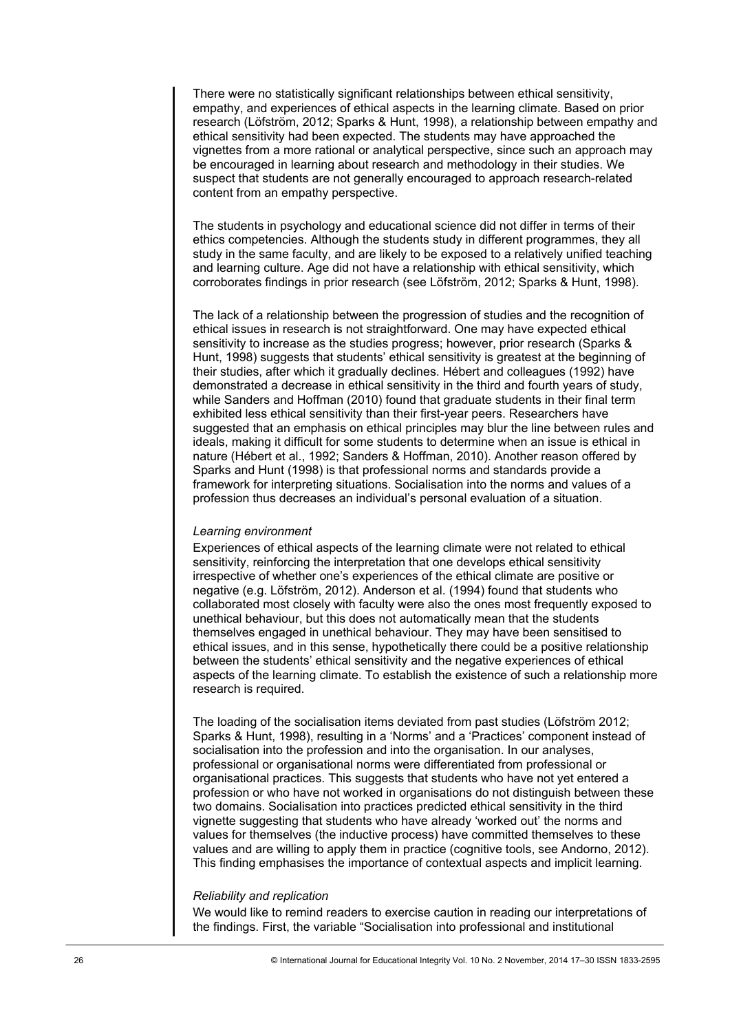There were no statistically significant relationships between ethical sensitivity, empathy, and experiences of ethical aspects in the learning climate. Based on prior research (Löfström, 2012; Sparks & Hunt, 1998), a relationship between empathy and ethical sensitivity had been expected. The students may have approached the vignettes from a more rational or analytical perspective, since such an approach may be encouraged in learning about research and methodology in their studies. We suspect that students are not generally encouraged to approach research-related content from an empathy perspective.

The students in psychology and educational science did not differ in terms of their ethics competencies. Although the students study in different programmes, they all study in the same faculty, and are likely to be exposed to a relatively unified teaching and learning culture. Age did not have a relationship with ethical sensitivity, which corroborates findings in prior research (see Löfström, 2012; Sparks & Hunt, 1998).

The lack of a relationship between the progression of studies and the recognition of ethical issues in research is not straightforward. One may have expected ethical sensitivity to increase as the studies progress; however, prior research (Sparks & Hunt, 1998) suggests that students' ethical sensitivity is greatest at the beginning of their studies, after which it gradually declines. Hébert and colleagues (1992) have demonstrated a decrease in ethical sensitivity in the third and fourth years of study, while Sanders and Hoffman (2010) found that graduate students in their final term exhibited less ethical sensitivity than their first-year peers. Researchers have suggested that an emphasis on ethical principles may blur the line between rules and ideals, making it difficult for some students to determine when an issue is ethical in nature (Hébert et al., 1992; Sanders & Hoffman, 2010). Another reason offered by Sparks and Hunt (1998) is that professional norms and standards provide a framework for interpreting situations. Socialisation into the norms and values of a profession thus decreases an individual's personal evaluation of a situation.

#### *Learning environment*

Experiences of ethical aspects of the learning climate were not related to ethical sensitivity, reinforcing the interpretation that one develops ethical sensitivity irrespective of whether one's experiences of the ethical climate are positive or negative (e.g. Löfström, 2012). Anderson et al. (1994) found that students who collaborated most closely with faculty were also the ones most frequently exposed to unethical behaviour, but this does not automatically mean that the students themselves engaged in unethical behaviour. They may have been sensitised to ethical issues, and in this sense, hypothetically there could be a positive relationship between the students' ethical sensitivity and the negative experiences of ethical aspects of the learning climate. To establish the existence of such a relationship more research is required.

The loading of the socialisation items deviated from past studies (Löfström 2012; Sparks & Hunt, 1998), resulting in a 'Norms' and a 'Practices' component instead of socialisation into the profession and into the organisation. In our analyses, professional or organisational norms were differentiated from professional or organisational practices. This suggests that students who have not yet entered a profession or who have not worked in organisations do not distinguish between these two domains. Socialisation into practices predicted ethical sensitivity in the third vignette suggesting that students who have already 'worked out' the norms and values for themselves (the inductive process) have committed themselves to these values and are willing to apply them in practice (cognitive tools, see Andorno, 2012). This finding emphasises the importance of contextual aspects and implicit learning.

#### *Reliability and replication*

We would like to remind readers to exercise caution in reading our interpretations of the findings. First, the variable "Socialisation into professional and institutional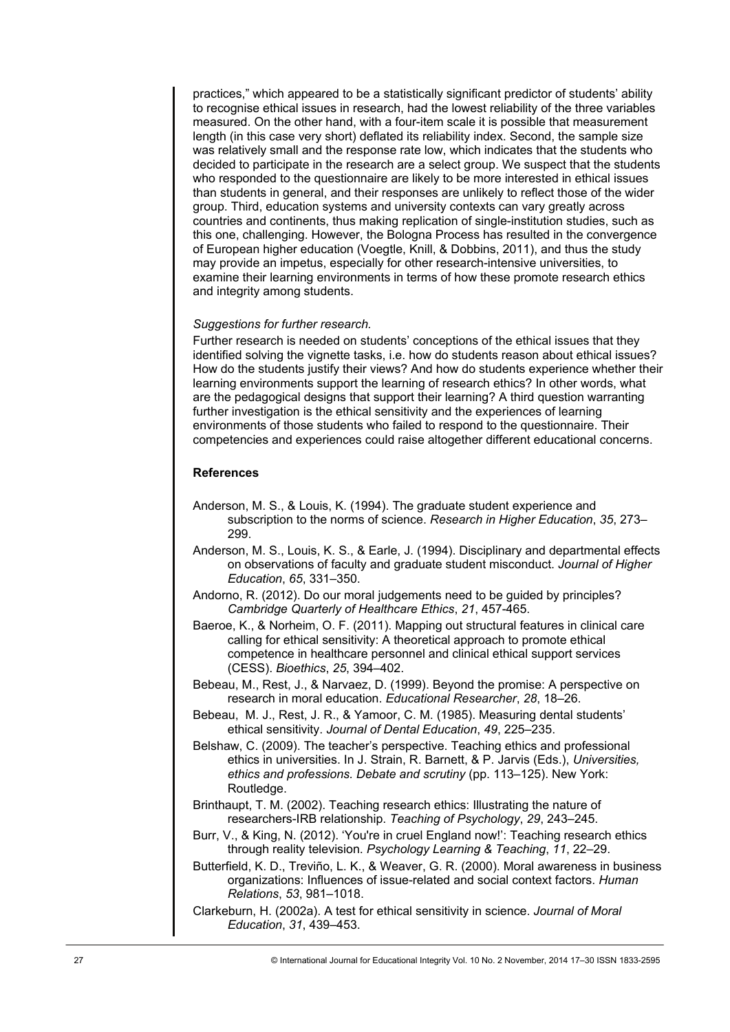practices," which appeared to be a statistically significant predictor of students' ability to recognise ethical issues in research, had the lowest reliability of the three variables measured. On the other hand, with a four-item scale it is possible that measurement length (in this case very short) deflated its reliability index. Second, the sample size was relatively small and the response rate low, which indicates that the students who decided to participate in the research are a select group. We suspect that the students who responded to the questionnaire are likely to be more interested in ethical issues than students in general, and their responses are unlikely to reflect those of the wider group. Third, education systems and university contexts can vary greatly across countries and continents, thus making replication of single-institution studies, such as this one, challenging. However, the Bologna Process has resulted in the convergence of European higher education (Voegtle, Knill, & Dobbins, 2011), and thus the study may provide an impetus, especially for other research-intensive universities, to examine their learning environments in terms of how these promote research ethics and integrity among students.

#### *Suggestions for further research.*

Further research is needed on students' conceptions of the ethical issues that they identified solving the vignette tasks, i.e. how do students reason about ethical issues? How do the students justify their views? And how do students experience whether their learning environments support the learning of research ethics? In other words, what are the pedagogical designs that support their learning? A third question warranting further investigation is the ethical sensitivity and the experiences of learning environments of those students who failed to respond to the questionnaire. Their competencies and experiences could raise altogether different educational concerns.

#### **References**

- Anderson, M. S., & Louis, K. (1994). The graduate student experience and subscription to the norms of science. *Research in Higher Education*, *35*, 273– 299.
- Anderson, M. S., Louis, K. S., & Earle, J. (1994). Disciplinary and departmental effects on observations of faculty and graduate student misconduct. *Journal of Higher Education*, *65*, 331–350.
- Andorno, R. (2012). Do our moral judgements need to be guided by principles? *Cambridge Quarterly of Healthcare Ethics*, *21*, 457-465.
- Baeroe, K., & Norheim, O. F. (2011). Mapping out structural features in clinical care calling for ethical sensitivity: A theoretical approach to promote ethical competence in healthcare personnel and clinical ethical support services (CESS). *Bioethics*, *25*, 394–402.
- Bebeau, M., Rest, J., & Narvaez, D. (1999). Beyond the promise: A perspective on research in moral education. *Educational Researcher*, *28*, 18–26.
- Bebeau, M. J., Rest, J. R., & Yamoor, C. M. (1985). Measuring dental students' ethical sensitivity. *Journal of Dental Education*, *49*, 225–235.
- Belshaw, C. (2009). The teacher's perspective. Teaching ethics and professional ethics in universities. In J. Strain, R. Barnett, & P. Jarvis (Eds.), *Universities, ethics and professions. Debate and scrutiny* (pp. 113–125). New York: Routledge.
- Brinthaupt, T. M. (2002). Teaching research ethics: Illustrating the nature of researchers-IRB relationship. *Teaching of Psychology*, *29*, 243–245.
- Burr, V., & King, N. (2012). 'You're in cruel England now!': Teaching research ethics through reality television. *Psychology Learning & Teaching*, *11*, 22–29.
- Butterfield, K. D., Treviño, L. K., & Weaver, G. R. (2000). Moral awareness in business organizations: Influences of issue-related and social context factors. *Human Relations*, *53*, 981–1018.
- Clarkeburn, H. (2002a). A test for ethical sensitivity in science. *Journal of Moral Education*, *31*, 439–453.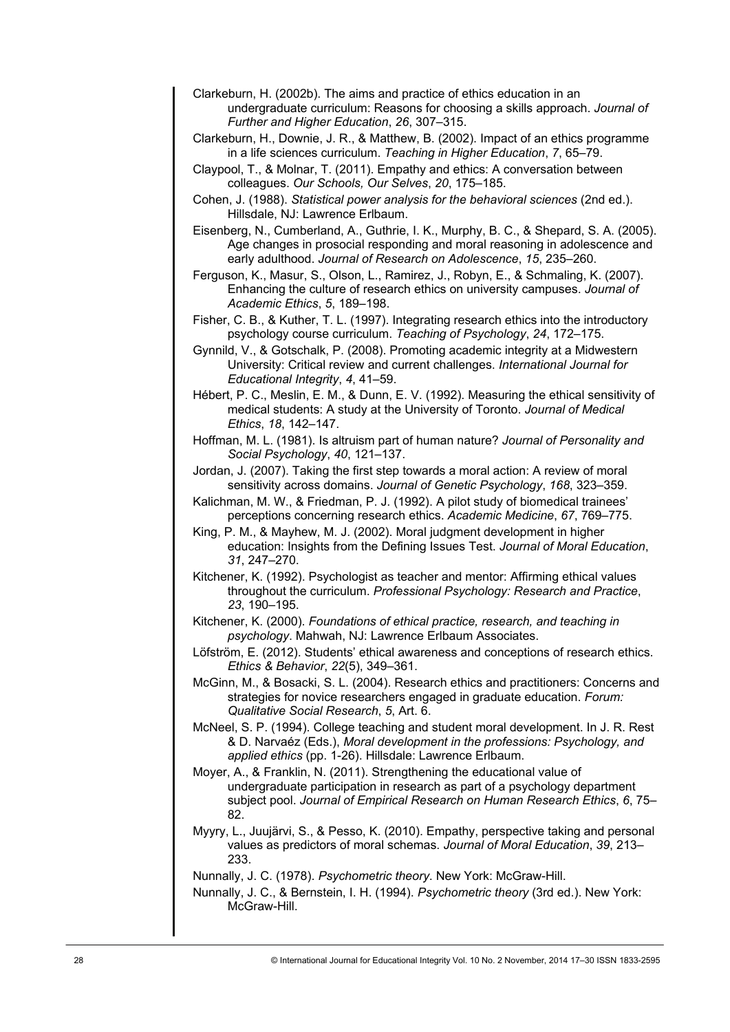- Clarkeburn, H. (2002b). The aims and practice of ethics education in an undergraduate curriculum: Reasons for choosing a skills approach. *Journal of Further and Higher Education*, *26*, 307–315.
- Clarkeburn, H., Downie, J. R., & Matthew, B. (2002). Impact of an ethics programme in a life sciences curriculum. *Teaching in Higher Education*, *7*, 65–79.
- Claypool, T., & Molnar, T. (2011). Empathy and ethics: A conversation between colleagues. *Our Schools, Our Selves*, *20*, 175–185.
- Cohen, J. (1988). *Statistical power analysis for the behavioral sciences* (2nd ed.). Hillsdale, NJ: Lawrence Erlbaum.
- Eisenberg, N., Cumberland, A., Guthrie, I. K., Murphy, B. C., & Shepard, S. A. (2005). Age changes in prosocial responding and moral reasoning in adolescence and early adulthood. *Journal of Research on Adolescence*, *15*, 235–260.
- Ferguson, K., Masur, S., Olson, L., Ramirez, J., Robyn, E., & Schmaling, K. (2007). Enhancing the culture of research ethics on university campuses. *Journal of Academic Ethics*, *5*, 189–198.
- Fisher, C. B., & Kuther, T. L. (1997). Integrating research ethics into the introductory psychology course curriculum. *Teaching of Psychology*, *24*, 172–175.
- Gynnild, V., & Gotschalk, P. (2008). Promoting academic integrity at a Midwestern University: Critical review and current challenges. *International Journal for Educational Integrity*, *4*, 41–59.
- Hébert, P. C., Meslin, E. M., & Dunn, E. V. (1992). Measuring the ethical sensitivity of medical students: A study at the University of Toronto. *Journal of Medical Ethics*, *18*, 142–147.
- Hoffman, M. L. (1981). Is altruism part of human nature? *Journal of Personality and Social Psychology*, *40*, 121–137.
- Jordan, J. (2007). Taking the first step towards a moral action: A review of moral sensitivity across domains. *Journal of Genetic Psychology*, *168*, 323–359.
- Kalichman, M. W., & Friedman, P. J. (1992). A pilot study of biomedical trainees' perceptions concerning research ethics. *Academic Medicine*, *67*, 769–775.
- King, P. M., & Mayhew, M. J. (2002). Moral judgment development in higher education: Insights from the Defining Issues Test. *Journal of Moral Education*, *31*, 247–270.
- Kitchener, K. (1992). Psychologist as teacher and mentor: Affirming ethical values throughout the curriculum. *Professional Psychology: Research and Practice*, *23*, 190–195.
- Kitchener, K. (2000). *Foundations of ethical practice, research, and teaching in psychology*. Mahwah, NJ: Lawrence Erlbaum Associates.
- Löfström, E. (2012). Students' ethical awareness and conceptions of research ethics. *Ethics & Behavior*, *22*(5), 349–361.
- McGinn, M., & Bosacki, S. L. (2004). Research ethics and practitioners: Concerns and strategies for novice researchers engaged in graduate education. *Forum: Qualitative Social Research*, *5*, Art. 6.
- McNeel, S. P. (1994). College teaching and student moral development. In J. R. Rest & D. Narvaéz (Eds.), *Moral development in the professions: Psychology, and applied ethics* (pp. 1-26). Hillsdale: Lawrence Erlbaum.
- Moyer, A., & Franklin, N. (2011). Strengthening the educational value of undergraduate participation in research as part of a psychology department subject pool. *Journal of Empirical Research on Human Research Ethics*, *6*, 75– 82.
- Myyry, L., Juujärvi, S., & Pesso, K. (2010). Empathy, perspective taking and personal values as predictors of moral schemas. *Journal of Moral Education*, *39*, 213– 233.

Nunnally, J. C. (1978). *Psychometric theory*. New York: McGraw-Hill.

Nunnally, J. C., & Bernstein, I. H. (1994). *Psychometric theory* (3rd ed.). New York: McGraw-Hill.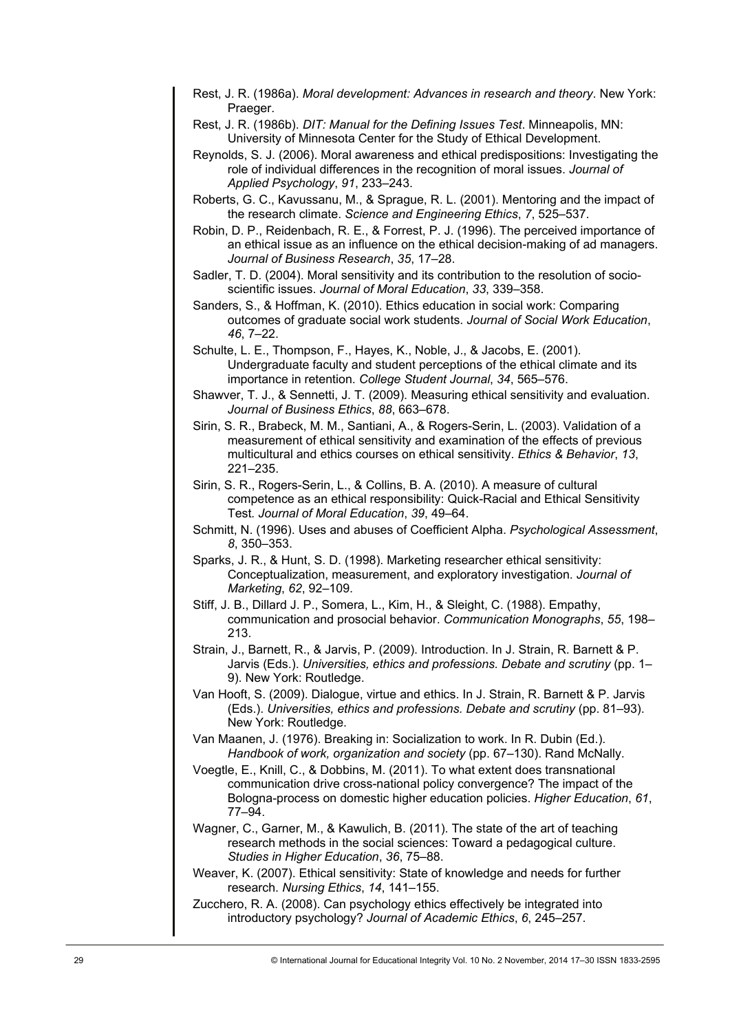- Rest, J. R. (1986a). *Moral development: Advances in research and theory*. New York: Praeger.
- Rest, J. R. (1986b). *DIT: Manual for the Defining Issues Test*. Minneapolis, MN: University of Minnesota Center for the Study of Ethical Development.
- Reynolds, S. J. (2006). Moral awareness and ethical predispositions: Investigating the role of individual differences in the recognition of moral issues. *Journal of Applied Psychology*, *91*, 233–243.
- Roberts, G. C., Kavussanu, M., & Sprague, R. L. (2001). Mentoring and the impact of the research climate. *Science and Engineering Ethics*, *7*, 525–537.
- Robin, D. P., Reidenbach, R. E., & Forrest, P. J. (1996). The perceived importance of an ethical issue as an influence on the ethical decision-making of ad managers. *Journal of Business Research*, *35*, 17–28.
- Sadler, T. D. (2004). Moral sensitivity and its contribution to the resolution of socioscientific issues. *Journal of Moral Education*, *33*, 339–358.
- Sanders, S., & Hoffman, K. (2010). Ethics education in social work: Comparing outcomes of graduate social work students. *Journal of Social Work Education*, *46*, 7–22.
- Schulte, L. E., Thompson, F., Hayes, K., Noble, J., & Jacobs, E. (2001). Undergraduate faculty and student perceptions of the ethical climate and its importance in retention. *College Student Journal*, *34*, 565–576.
- Shawver, T. J., & Sennetti, J. T. (2009). Measuring ethical sensitivity and evaluation. *Journal of Business Ethics*, *88*, 663–678.
- Sirin, S. R., Brabeck, M. M., Santiani, A., & Rogers-Serin, L. (2003). Validation of a measurement of ethical sensitivity and examination of the effects of previous multicultural and ethics courses on ethical sensitivity. *Ethics & Behavior*, *13*, 221–235.
- Sirin, S. R., Rogers-Serin, L., & Collins, B. A. (2010). A measure of cultural competence as an ethical responsibility: Quick-Racial and Ethical Sensitivity Test*. Journal of Moral Education*, *39*, 49–64.
- Schmitt, N. (1996). Uses and abuses of Coefficient Alpha. *Psychological Assessment*, *8*, 350–353.
- Sparks, J. R., & Hunt, S. D. (1998). Marketing researcher ethical sensitivity: Conceptualization, measurement, and exploratory investigation. *Journal of Marketing*, *62*, 92–109.
- Stiff, J. B., Dillard J. P., Somera, L., Kim, H., & Sleight, C. (1988). Empathy, communication and prosocial behavior. *Communication Monographs*, *55*, 198– 213.
- Strain, J., Barnett, R., & Jarvis, P. (2009). Introduction. In J. Strain, R. Barnett & P. Jarvis (Eds.). *Universities, ethics and professions. Debate and scrutiny* (pp. 1– 9). New York: Routledge.
- Van Hooft, S. (2009). Dialogue, virtue and ethics. In J. Strain, R. Barnett & P. Jarvis (Eds.). *Universities, ethics and professions. Debate and scrutiny* (pp. 81–93). New York: Routledge.
- Van Maanen, J. (1976). Breaking in: Socialization to work. In R. Dubin (Ed.). *Handbook of work, organization and society* (pp. 67–130). Rand McNally.
- Voegtle, E., Knill, C., & Dobbins, M. (2011). To what extent does transnational communication drive cross-national policy convergence? The impact of the Bologna-process on domestic higher education policies. *Higher Education*, *61*, 77–94.
- Wagner, C., Garner, M., & Kawulich, B. (2011). The state of the art of teaching research methods in the social sciences: Toward a pedagogical culture. *Studies in Higher Education*, *36*, 75–88.
- Weaver, K. (2007). Ethical sensitivity: State of knowledge and needs for further research. *Nursing Ethics*, *14*, 141–155.
- Zucchero, R. A. (2008). Can psychology ethics effectively be integrated into introductory psychology? *Journal of Academic Ethics*, *6*, 245–257.